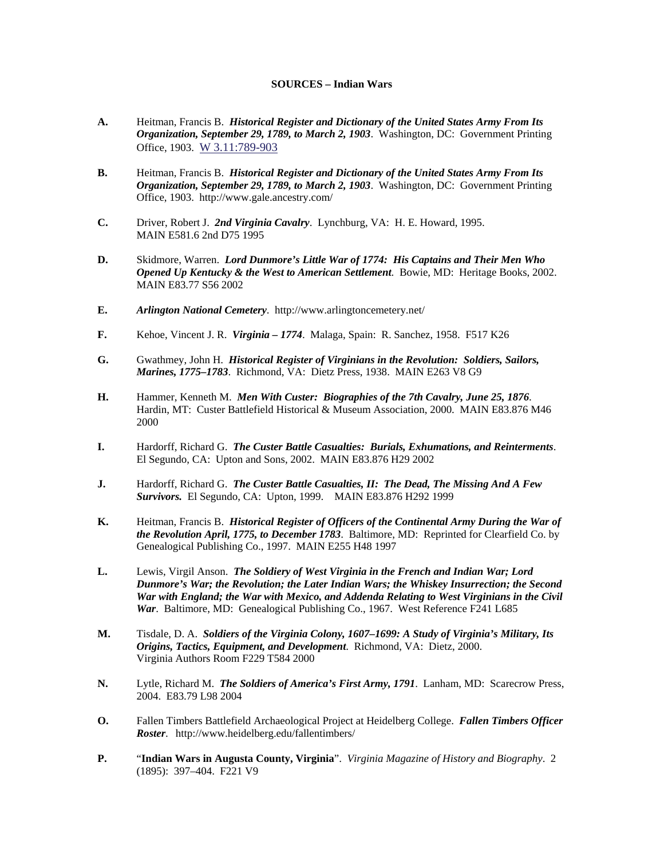## **SOURCES – Indian Wars**

- **A.** Heitman, Francis B. *Historical Register and Dictionary of the United States Army From Its Organization, September 29, 1789, to March 2, 1903*. Washington, DC: Government Printing Office, 1903. W 3.11:789-903
- **B.** Heitman, Francis B. *Historical Register and Dictionary of the United States Army From Its Organization, September 29, 1789, to March 2, 1903*. Washington, DC: Government Printing Office, 1903. http://www.gale.ancestry.com/
- **C.** Driver, Robert J. *2nd Virginia Cavalry*. Lynchburg, VA: H. E. Howard, 1995. MAIN E581.6 2nd D75 1995
- **D.** Skidmore, Warren. *Lord Dunmore's Little War of 1774: His Captains and Their Men Who Opened Up Kentucky & the West to American Settlement*. Bowie, MD: Heritage Books, 2002. MAIN E83.77 S56 2002
- **E.** *Arlington National Cemetery*. http://www.arlingtoncemetery.net/
- **F.** Kehoe, Vincent J. R. *Virginia 1774*. Malaga, Spain: R. Sanchez, 1958. F517 K26
- **G.** Gwathmey, John H. *Historical Register of Virginians in the Revolution: Soldiers, Sailors, Marines, 1775–1783*. Richmond, VA: Dietz Press, 1938. MAIN E263 V8 G9
- **H.** Hammer, Kenneth M. *Men With Custer: Biographies of the 7th Cavalry, June 25, 1876*. Hardin, MT: Custer Battlefield Historical & Museum Association, 2000. MAIN E83.876 M46 2000
- **I.** Hardorff, Richard G. *The Custer Battle Casualties: Burials, Exhumations, and Reinterments*. El Segundo, CA: Upton and Sons, 2002. MAIN E83.876 H29 2002
- **J.** Hardorff, Richard G. *The Custer Battle Casualties, II: The Dead, The Missing And A Few Survivors.* El Segundo, CA: Upton, 1999. MAIN E83.876 H292 1999
- **K.** Heitman, Francis B. *Historical Register of Officers of the Continental Army During the War of the Revolution April, 1775, to December 1783*. Baltimore, MD: Reprinted for Clearfield Co. by Genealogical Publishing Co., 1997. MAIN E255 H48 1997
- **L.** Lewis, Virgil Anson. *The Soldiery of West Virginia in the French and Indian War; Lord Dunmore's War; the Revolution; the Later Indian Wars; the Whiskey Insurrection; the Second War with England; the War with Mexico, and Addenda Relating to West Virginians in the Civil War*. Baltimore, MD: Genealogical Publishing Co., 1967. West Reference F241 L685
- **M.** Tisdale, D. A. *Soldiers of the Virginia Colony, 1607–1699: A Study of Virginia's Military, Its Origins, Tactics, Equipment, and Development*. Richmond, VA: Dietz, 2000. Virginia Authors Room F229 T584 2000
- **N.** Lytle, Richard M. *The Soldiers of America's First Army, 1791*. Lanham, MD: Scarecrow Press, 2004. E83.79 L98 2004
- **O.** Fallen Timbers Battlefield Archaeological Project at Heidelberg College. *Fallen Timbers Officer Roster*. http://www.heidelberg.edu/fallentimbers/
- **P.** "**Indian Wars in Augusta County, Virginia**". *Virginia Magazine of History and Biography*. 2 (1895): 397–404. F221 V9